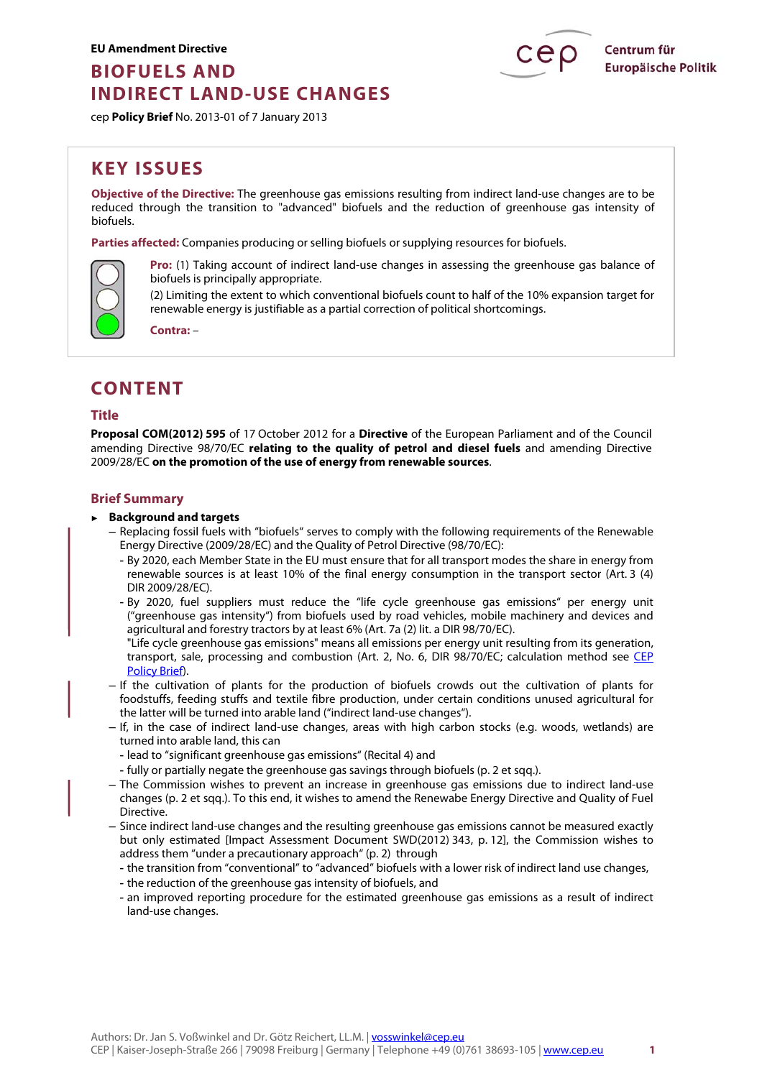# **BIOFUELS AND INDIRECT LAND-USE CHANGES**



cep **Policy Brief** No. 2013-01 of 7 January 2013

# **KEY ISSUES**

**Objective of the Directive:** The greenhouse gas emissions resulting from indirect land-use changes are to be reduced through the transition to "advanced" biofuels and the reduction of greenhouse gas intensity of biofuels.

**Parties affected:** Companies producing or selling biofuels or supplying resources for biofuels.



**Pro:** (1) Taking account of indirect land-use changes in assessing the greenhouse gas balance of biofuels is principally appropriate.

(2) Limiting the extent to which conventional biofuels count to half of the 10% expansion target for renewable energy is justifiable as a partial correction of political shortcomings.

**Contra:** –

# **CONTENT**

# **Title**

**Proposal COM(2012) 595** of 17 October 2012 for a **Directive** of the European Parliament and of the Council amending Directive 98/70/EC **relating to the quality of petrol and diesel fuels** and amending Directive 2009/28/EC **on the promotion of the use of energy from renewable sources**.

# **Brief Summary**

#### ► **Background and targets**

- Replacing fossil fuels with "biofuels" serves to comply with the following requirements of the Renewable Energy Directive (2009/28/EC) and the Quality of Petrol Directive (98/70/EC):
	- By 2020, each Member State in the EU must ensure that for all transport modes the share in energy from renewable sources is at least 10% of the final energy consumption in the transport sector (Art. 3 (4) DIR 2009/28/EC).
	- By 2020, fuel suppliers must reduce the "life cycle greenhouse gas emissions" per energy unit ("greenhouse gas intensity") from biofuels used by road vehicles, mobile machinery and devices and agricultural and forestry tractors by at least 6% (Art. 7a (2) lit. a DIR 98/70/EC).
	- "Life cycle greenhouse gas emissions" means all emissions per energy unit resulting from its generation, transport, sale, processing and combustion (Art. 2, No. 6, DIR 98/70/EC; calculation method see [CEP](http://www.cep.eu/en/analyses-of-eu-policy/climate-protection/fuel-quality/)  [Policy Brief\).](http://www.cep.eu/en/analyses-of-eu-policy/climate-protection/fuel-quality/)
- If the cultivation of plants for the production of biofuels crowds out the cultivation of plants for foodstuffs, feeding stuffs and textile fibre production, under certain conditions unused agricultural for the latter will be turned into arable land ("indirect land-use changes").
- If, in the case of indirect land-use changes, areas with high carbon stocks (e.g. woods, wetlands) are turned into arable land, this can
	- lead to "significant greenhouse gas emissions" (Recital 4) and
	- fully or partially negate the greenhouse gas savings through biofuels (p. 2 et sqq.).
- The Commission wishes to prevent an increase in greenhouse gas emissions due to indirect land-use changes (p. 2 et sqq.). To this end, it wishes to amend the Renewabe Energy Directive and Quality of Fuel Directive.
- Since indirect land-use changes and the resulting greenhouse gas emissions cannot be measured exactly but only estimated [Impact Assessment Document SWD(2012) 343, p. 12], the Commission wishes to address them "under a precautionary approach" (p. 2) through
	- the transition from "conventional" to "advanced" biofuels with a lower risk of indirect land use changes,
	- the reduction of the greenhouse gas intensity of biofuels, and
	- an improved reporting procedure for the estimated greenhouse gas emissions as a result of indirect land-use changes.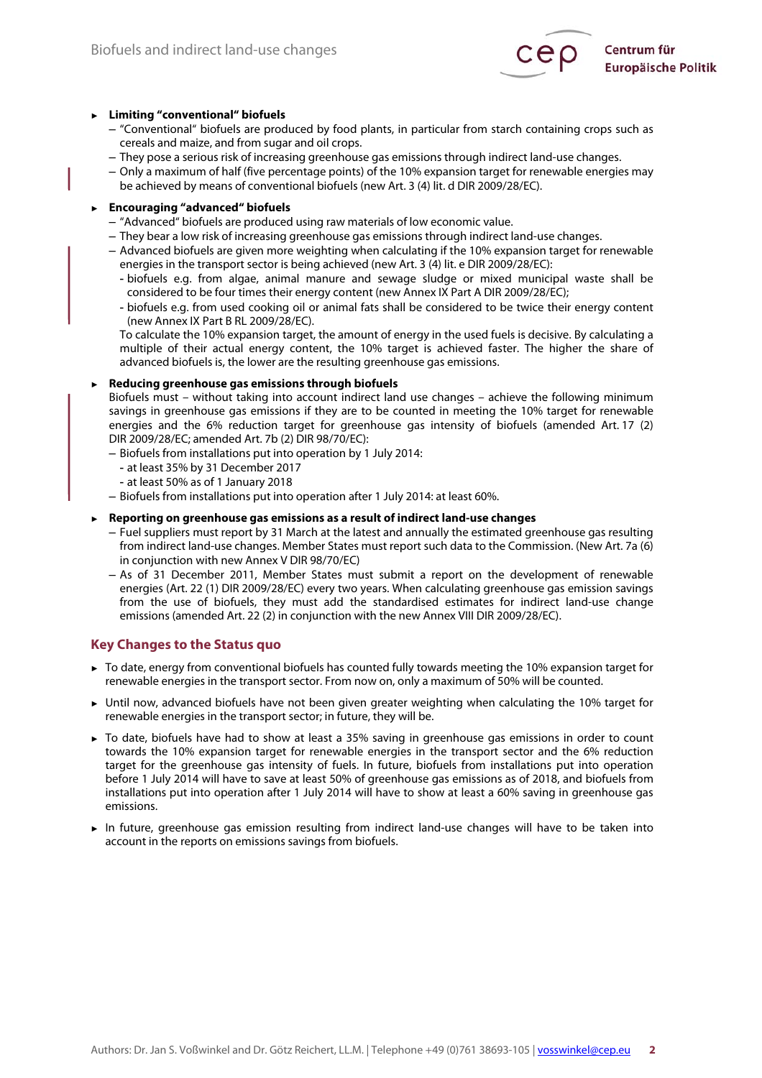

#### ► **Limiting "conventional" biofuels**

- "Conventional" biofuels are produced by food plants, in particular from starch containing crops such as cereals and maize, and from sugar and oil crops.
- They pose a serious risk of increasing greenhouse gas emissions through indirect land-use changes.
- Only a maximum of half (five percentage points) of the 10% expansion target for renewable energies may be achieved by means of conventional biofuels (new Art. 3 (4) lit. d DIR 2009/28/EC).

#### ► **Encouraging "advanced" biofuels**

- "Advanced" biofuels are produced using raw materials of low economic value.
- They bear a low risk of increasing greenhouse gas emissions through indirect land-use changes.
- Advanced biofuels are given more weighting when calculating if the 10% expansion target for renewable energies in the transport sector is being achieved (new Art. 3 (4) lit. e DIR 2009/28/EC):
	- biofuels e.g. from algae, animal manure and sewage sludge or mixed municipal waste shall be considered to be four times their energy content (new Annex IX Part A DIR 2009/28/EC);
	- biofuels e.g. from used cooking oil or animal fats shall be considered to be twice their energy content (new Annex IX Part B RL 2009/28/EC).

To calculate the 10% expansion target, the amount of energy in the used fuels is decisive. By calculating a multiple of their actual energy content, the 10% target is achieved faster. The higher the share of advanced biofuels is, the lower are the resulting greenhouse gas emissions.

#### ► **Reducing greenhouse gas emissions through biofuels**

Biofuels must – without taking into account indirect land use changes – achieve the following minimum savings in greenhouse gas emissions if they are to be counted in meeting the 10% target for renewable energies and the 6% reduction target for greenhouse gas intensity of biofuels (amended Art. 17 (2) DIR 2009/28/EC; amended Art. 7b (2) DIR 98/70/EC):

- Biofuels from installations put into operation by 1 July 2014:
	- at least 35% by 31 December 2017
	- at least 50% as of 1 January 2018
- Biofuels from installations put into operation after 1 July 2014: at least 60%.

#### ► **Reporting on greenhouse gas emissions as a result of indirect land-use changes**

- Fuel suppliers must report by 31 March at the latest and annually the estimated greenhouse gas resulting from indirect land-use changes. Member States must report such data to the Commission. (New Art. 7a (6) in conjunction with new Annex V DIR 98/70/EC)
- As of 31 December 2011, Member States must submit a report on the development of renewable energies (Art. 22 (1) DIR 2009/28/EC) every two years. When calculating greenhouse gas emission savings from the use of biofuels, they must add the standardised estimates for indirect land-use change emissions (amended Art. 22 (2) in conjunction with the new Annex VIII DIR 2009/28/EC).

#### **Key Changes to the Status quo**

- ► To date, energy from conventional biofuels has counted fully towards meeting the 10% expansion target for renewable energies in the transport sector. From now on, only a maximum of 50% will be counted.
- ► Until now, advanced biofuels have not been given greater weighting when calculating the 10% target for renewable energies in the transport sector; in future, they will be.
- ► To date, biofuels have had to show at least a 35% saving in greenhouse gas emissions in order to count towards the 10% expansion target for renewable energies in the transport sector and the 6% reduction target for the greenhouse gas intensity of fuels. In future, biofuels from installations put into operation before 1 July 2014 will have to save at least 50% of greenhouse gas emissions as of 2018, and biofuels from installations put into operation after 1 July 2014 will have to show at least a 60% saving in greenhouse gas emissions.
- ► In future, greenhouse gas emission resulting from indirect land-use changes will have to be taken into account in the reports on emissions savings from biofuels.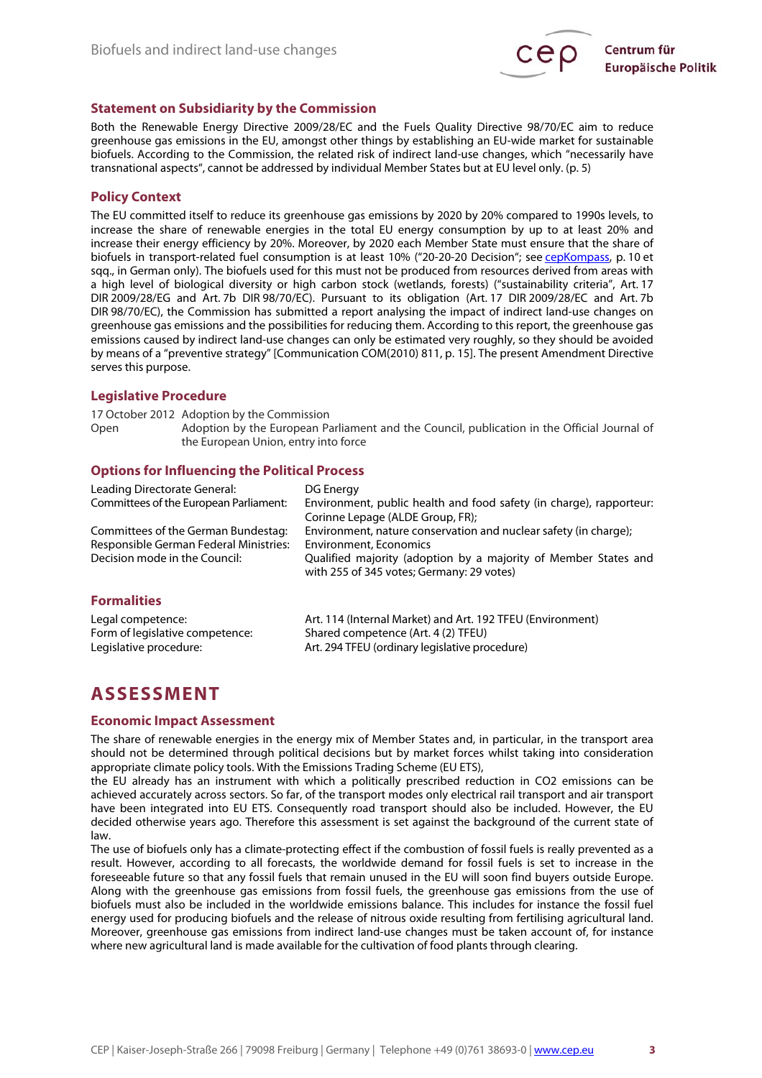

### **Statement on Subsidiarity by the Commission**

Both the Renewable Energy Directive 2009/28/EC and the Fuels Quality Directive 98/70/EC aim to reduce greenhouse gas emissions in the EU, amongst other things by establishing an EU-wide market for sustainable biofuels. According to the Commission, the related risk of indirect land-use changes, which "necessarily have transnational aspects", cannot be addressed by individual Member States but at EU level only. (p. 5)

#### **Policy Context**

The EU committed itself to reduce its greenhouse gas emissions by 2020 by 20% compared to 1990s levels, to increase the share of renewable energies in the total EU energy consumption by up to at least 20% and increase their energy efficiency by 20%. Moreover, by 2020 each Member State must ensure that the share of biofuels in transport-related fuel consumption is at least 10% ("20-20-20 Decision"; see [cepKompass,](http://www.cep.eu/fileadmin/user_upload/Kurzanalysen/Cep-Kompass_Energiepolitik/cepKompass_EU-Energiepolitik.pdf) p. 10 et sqq., in German only). The biofuels used for this must not be produced from resources derived from areas with a high level of biological diversity or high carbon stock (wetlands, forests) ("sustainability criteria", Art. 17 DIR 2009/28/EG and Art. 7b DIR 98/70/EC). Pursuant to its obligation (Art. 17 DIR 2009/28/EC and Art. 7b DIR 98/70/EC), the Commission has submitted a report analysing the impact of indirect land-use changes on greenhouse gas emissions and the possibilities for reducing them. According to this report, the greenhouse gas emissions caused by indirect land-use changes can only be estimated very roughly, so they should be avoided by means of a "preventive strategy" [Communication COM(2010) 811, p. 15]. The present Amendment Directive serves this purpose.

#### **Legislative Procedure**

17 October 2012 Adoption by the Commission Open Adoption by the European Parliament and the Council, publication in the Official Journal of the European Union, entry into force

### **Options for Influencing the Political Process**

| Leading Directorate General:<br>Committees of the European Parliament: | DG Energy<br>Environment, public health and food safety (in charge), rapporteur:                             |
|------------------------------------------------------------------------|--------------------------------------------------------------------------------------------------------------|
| Committees of the German Bundestag:                                    | Corinne Lepage (ALDE Group, FR);<br>Environment, nature conservation and nuclear safety (in charge);         |
| Responsible German Federal Ministries:                                 | <b>Environment, Economics</b>                                                                                |
| Decision mode in the Council:                                          | Qualified majority (adoption by a majority of Member States and<br>with 255 of 345 votes; Germany: 29 votes) |
| <b>Formalities</b>                                                     |                                                                                                              |
| Legal competence:                                                      | Art. 114 (Internal Market) and Art. 192 TFEU (Environment)                                                   |
| Form of legislative competence:                                        | Shared competence (Art. 4 (2) TFEU)                                                                          |
| Legislative procedure:                                                 | Art. 294 TFEU (ordinary legislative procedure)                                                               |

# **ASSESSMENT**

#### **Economic Impact Assessment**

The share of renewable energies in the energy mix of Member States and, in particular, in the transport area should not be determined through political decisions but by market forces whilst taking into consideration appropriate climate policy tools. With the Emissions Trading Scheme (EU ETS),

the EU already has an instrument with which a politically prescribed reduction in CO2 emissions can be achieved accurately across sectors. So far, of the transport modes only electrical rail transport and air transport have been integrated into EU ETS. Consequently road transport should also be included. However, the EU decided otherwise years ago. Therefore this assessment is set against the background of the current state of law.

The use of biofuels only has a climate-protecting effect if the combustion of fossil fuels is really prevented as a result. However, according to all forecasts, the worldwide demand for fossil fuels is set to increase in the foreseeable future so that any fossil fuels that remain unused in the EU will soon find buyers outside Europe. Along with the greenhouse gas emissions from fossil fuels, the greenhouse gas emissions from the use of biofuels must also be included in the worldwide emissions balance. This includes for instance the fossil fuel energy used for producing biofuels and the release of nitrous oxide resulting from fertilising agricultural land. Moreover, greenhouse gas emissions from indirect land-use changes must be taken account of, for instance where new agricultural land is made available for the cultivation of food plants through clearing.